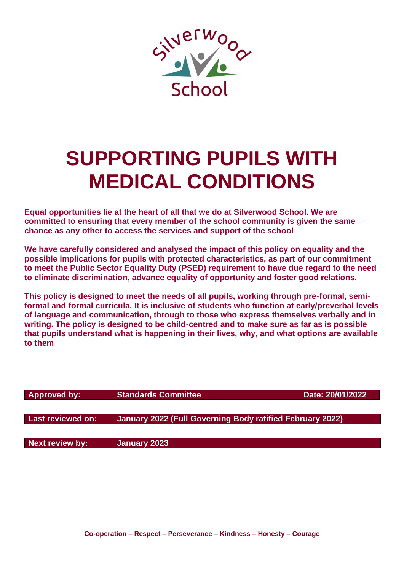

# **SUPPORTING PUPILS WITH MEDICAL CONDITIONS**

**Equal opportunities lie at the heart of all that we do at Silverwood School. We are committed to ensuring that every member of the school community is given the same chance as any other to access the services and support of the school**

**We have carefully considered and analysed the impact of this policy on equality and the possible implications for pupils with protected characteristics, as part of our commitment to meet the Public Sector Equality Duty (PSED) requirement to have due regard to the need to eliminate discrimination, advance equality of opportunity and foster good relations.**

**This policy is designed to meet the needs of all pupils, working through pre-formal, semiformal and formal curricula. It is inclusive of students who function at early/preverbal levels of language and communication, through to those who express themselves verbally and in writing. The policy is designed to be child-centred and to make sure as far as is possible that pupils understand what is happening in their lives, why, and what options are available to them**

| <b>Approved by:</b> | <b>Standards Committee</b>                                | Date: 20/01/2022 |
|---------------------|-----------------------------------------------------------|------------------|
|                     |                                                           |                  |
| Last reviewed on:   | January 2022 (Full Governing Body ratified February 2022) |                  |
| Next review by:     | January 2023                                              |                  |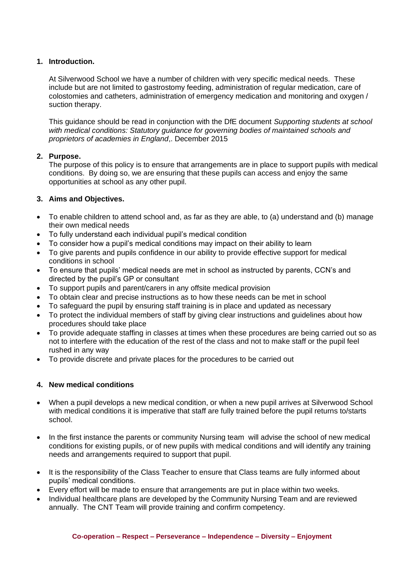# **1. Introduction.**

At Silverwood School we have a number of children with very specific medical needs. These include but are not limited to gastrostomy feeding, administration of regular medication, care of colostomies and catheters, administration of emergency medication and monitoring and oxygen / suction therapy.

This guidance should be read in conjunction with the DfE document *Supporting students at school with medical conditions: Statutory guidance for governing bodies of maintained schools and proprietors of academies in England*,. December 2015

## **2. Purpose.**

The purpose of this policy is to ensure that arrangements are in place to support pupils with medical conditions. By doing so, we are ensuring that these pupils can access and enjoy the same opportunities at school as any other pupil.

# **3. Aims and Objectives.**

- To enable children to attend school and, as far as they are able, to (a) understand and (b) manage their own medical needs
- To fully understand each individual pupil's medical condition
- To consider how a pupil's medical conditions may impact on their ability to learn
- To give parents and pupils confidence in our ability to provide effective support for medical conditions in school
- To ensure that pupils' medical needs are met in school as instructed by parents, CCN's and directed by the pupil's GP or consultant
- To support pupils and parent/carers in any offsite medical provision
- To obtain clear and precise instructions as to how these needs can be met in school
- To safeguard the pupil by ensuring staff training is in place and updated as necessary
- To protect the individual members of staff by giving clear instructions and guidelines about how procedures should take place
- To provide adequate staffing in classes at times when these procedures are being carried out so as not to interfere with the education of the rest of the class and not to make staff or the pupil feel rushed in any way
- To provide discrete and private places for the procedures to be carried out

## **4. New medical conditions**

- When a pupil develops a new medical condition, or when a new pupil arrives at Silverwood School with medical conditions it is imperative that staff are fully trained before the pupil returns to/starts school.
- In the first instance the parents or community Nursing team will advise the school of new medical conditions for existing pupils, or of new pupils with medical conditions and will identify any training needs and arrangements required to support that pupil.
- It is the responsibility of the Class Teacher to ensure that Class teams are fully informed about pupils' medical conditions.
- Every effort will be made to ensure that arrangements are put in place within two weeks.
- Individual healthcare plans are developed by the Community Nursing Team and are reviewed annually. The CNT Team will provide training and confirm competency.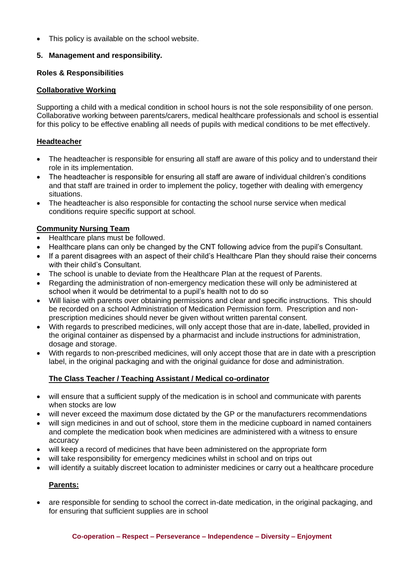This policy is available on the school website.

# **5. Management and responsibility.**

## **Roles & Responsibilities**

## **Collaborative Working**

Supporting a child with a medical condition in school hours is not the sole responsibility of one person. Collaborative working between parents/carers, medical healthcare professionals and school is essential for this policy to be effective enabling all needs of pupils with medical conditions to be met effectively.

# **Headteacher**

- The headteacher is responsible for ensuring all staff are aware of this policy and to understand their role in its implementation.
- The headteacher is responsible for ensuring all staff are aware of individual children's conditions and that staff are trained in order to implement the policy, together with dealing with emergency situations.
- The headteacher is also responsible for contacting the school nurse service when medical conditions require specific support at school.

# **Community Nursing Team**

- Healthcare plans must be followed.
- Healthcare plans can only be changed by the CNT following advice from the pupil's Consultant.
- If a parent disagrees with an aspect of their child's Healthcare Plan they should raise their concerns with their child's Consultant.
- The school is unable to deviate from the Healthcare Plan at the request of Parents.
- Regarding the administration of non-emergency medication these will only be administered at school when it would be detrimental to a pupil's health not to do so
- Will liaise with parents over obtaining permissions and clear and specific instructions. This should be recorded on a school Administration of Medication Permission form. Prescription and nonprescription medicines should never be given without written parental consent.
- With regards to prescribed medicines, will only accept those that are in-date, labelled, provided in the original container as dispensed by a pharmacist and include instructions for administration, dosage and storage.
- With regards to non-prescribed medicines, will only accept those that are in date with a prescription label, in the original packaging and with the original guidance for dose and administration.

# **The Class Teacher / Teaching Assistant / Medical co-ordinator**

- will ensure that a sufficient supply of the medication is in school and communicate with parents when stocks are low
- will never exceed the maximum dose dictated by the GP or the manufacturers recommendations
- will sign medicines in and out of school, store them in the medicine cupboard in named containers and complete the medication book when medicines are administered with a witness to ensure accuracy
- will keep a record of medicines that have been administered on the appropriate form
- will take responsibility for emergency medicines whilst in school and on trips out
- will identify a suitably discreet location to administer medicines or carry out a healthcare procedure

# **Parents:**

• are responsible for sending to school the correct in-date medication, in the original packaging, and for ensuring that sufficient supplies are in school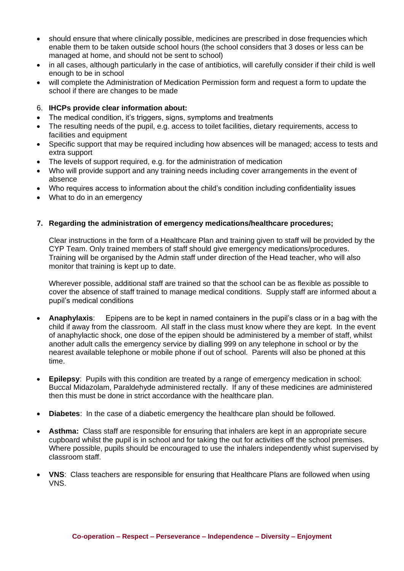- should ensure that where clinically possible, medicines are prescribed in dose frequencies which enable them to be taken outside school hours (the school considers that 3 doses or less can be managed at home, and should not be sent to school)
- in all cases, although particularly in the case of antibiotics, will carefully consider if their child is well enough to be in school
- will complete the Administration of Medication Permission form and request a form to update the school if there are changes to be made

## 6. **IHCPs provide clear information about:**

- The medical condition, it's triggers, signs, symptoms and treatments
- The resulting needs of the pupil, e.g. access to toilet facilities, dietary requirements, access to facilities and equipment
- Specific support that may be required including how absences will be managed; access to tests and extra support
- The levels of support required, e.g. for the administration of medication
- Who will provide support and any training needs including cover arrangements in the event of absence
- Who requires access to information about the child's condition including confidentiality issues
- What to do in an emergency

# **7. Regarding the administration of emergency medications/healthcare procedures;**

Clear instructions in the form of a Healthcare Plan and training given to staff will be provided by the CYP Team. Only trained members of staff should give emergency medications/procedures. Training will be organised by the Admin staff under direction of the Head teacher, who will also monitor that training is kept up to date.

Wherever possible, additional staff are trained so that the school can be as flexible as possible to cover the absence of staff trained to manage medical conditions. Supply staff are informed about a pupil's medical conditions

- **Anaphylaxis**: Epipens are to be kept in named containers in the pupil's class or in a bag with the child if away from the classroom. All staff in the class must know where they are kept. In the event of anaphylactic shock, one dose of the epipen should be administered by a member of staff, whilst another adult calls the emergency service by dialling 999 on any telephone in school or by the nearest available telephone or mobile phone if out of school. Parents will also be phoned at this time.
- **Epilepsy**: Pupils with this condition are treated by a range of emergency medication in school: Buccal Midazolam, Paraldehyde administered rectally. If any of these medicines are administered then this must be done in strict accordance with the healthcare plan.
- **Diabetes**: In the case of a diabetic emergency the healthcare plan should be followed.
- **Asthma:** Class staff are responsible for ensuring that inhalers are kept in an appropriate secure cupboard whilst the pupil is in school and for taking the out for activities off the school premises. Where possible, pupils should be encouraged to use the inhalers independently whist supervised by classroom staff.
- **VNS**: Class teachers are responsible for ensuring that Healthcare Plans are followed when using VNS.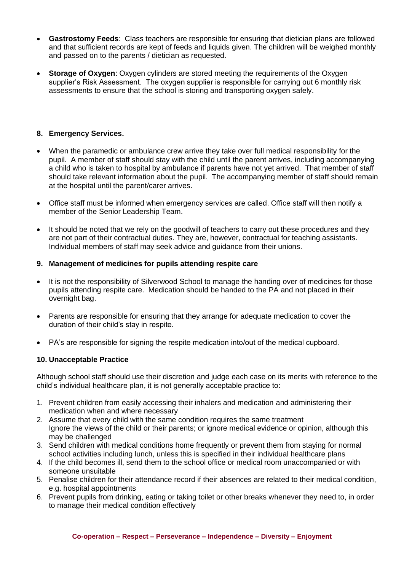- **Gastrostomy Feeds**: Class teachers are responsible for ensuring that dietician plans are followed and that sufficient records are kept of feeds and liquids given. The children will be weighed monthly and passed on to the parents / dietician as requested.
- **Storage of Oxygen:** Oxygen cylinders are stored meeting the requirements of the Oxygen supplier's Risk Assessment. The oxygen supplier is responsible for carrying out 6 monthly risk assessments to ensure that the school is storing and transporting oxygen safely.

# **8. Emergency Services.**

- When the paramedic or ambulance crew arrive they take over full medical responsibility for the pupil. A member of staff should stay with the child until the parent arrives, including accompanying a child who is taken to hospital by ambulance if parents have not yet arrived. That member of staff should take relevant information about the pupil. The accompanying member of staff should remain at the hospital until the parent/carer arrives.
- Office staff must be informed when emergency services are called. Office staff will then notify a member of the Senior Leadership Team.
- It should be noted that we rely on the goodwill of teachers to carry out these procedures and they are not part of their contractual duties. They are, however, contractual for teaching assistants. Individual members of staff may seek advice and guidance from their unions.

## **9. Management of medicines for pupils attending respite care**

- It is not the responsibility of Silverwood School to manage the handing over of medicines for those pupils attending respite care. Medication should be handed to the PA and not placed in their overnight bag.
- Parents are responsible for ensuring that they arrange for adequate medication to cover the duration of their child's stay in respite.
- PA's are responsible for signing the respite medication into/out of the medical cupboard.

## **10. Unacceptable Practice**

Although school staff should use their discretion and judge each case on its merits with reference to the child's individual healthcare plan, it is not generally acceptable practice to:

- 1. Prevent children from easily accessing their inhalers and medication and administering their medication when and where necessary
- 2. Assume that every child with the same condition requires the same treatment Ignore the views of the child or their parents; or ignore medical evidence or opinion, although this may be challenged
- 3. Send children with medical conditions home frequently or prevent them from staying for normal school activities including lunch, unless this is specified in their individual healthcare plans
- 4. If the child becomes ill, send them to the school office or medical room unaccompanied or with someone unsuitable
- 5. Penalise children for their attendance record if their absences are related to their medical condition, e.g. hospital appointments
- 6. Prevent pupils from drinking, eating or taking toilet or other breaks whenever they need to, in order to manage their medical condition effectively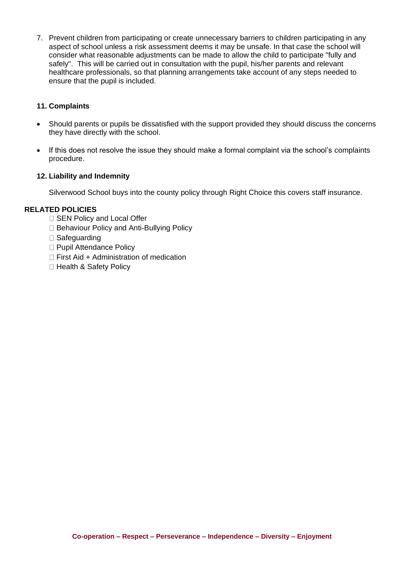7. Prevent children from participating or create unnecessary barriers to children participating in any aspect of school unless a risk assessment deems it may be unsafe. In that case the school will consider what reasonable adjustments can be made to allow the child to participate "fully and safely". This will be carried out in consultation with the pupil, his/her parents and relevant healthcare professionals, so that planning arrangements take account of any steps needed to ensure that the pupil is included.

# **11. Complaints**

- Should parents or pupils be dissatisfied with the support provided they should discuss the concerns they have directly with the school.
- If this does not resolve the issue they should make a formal complaint via the school's complaints procedure.

## **12. Liability and Indemnity**

Silverwood School buys into the county policy through Right Choice this covers staff insurance.

## **RELATED POLICIES**

- □ SEN Policy and Local Offer
- □ Behaviour Policy and Anti-Bullying Policy
- □ Safeguarding
- □ Pupil Attendance Policy
- $\Box$  First Aid + Administration of medication
- □ Health & Safety Policy